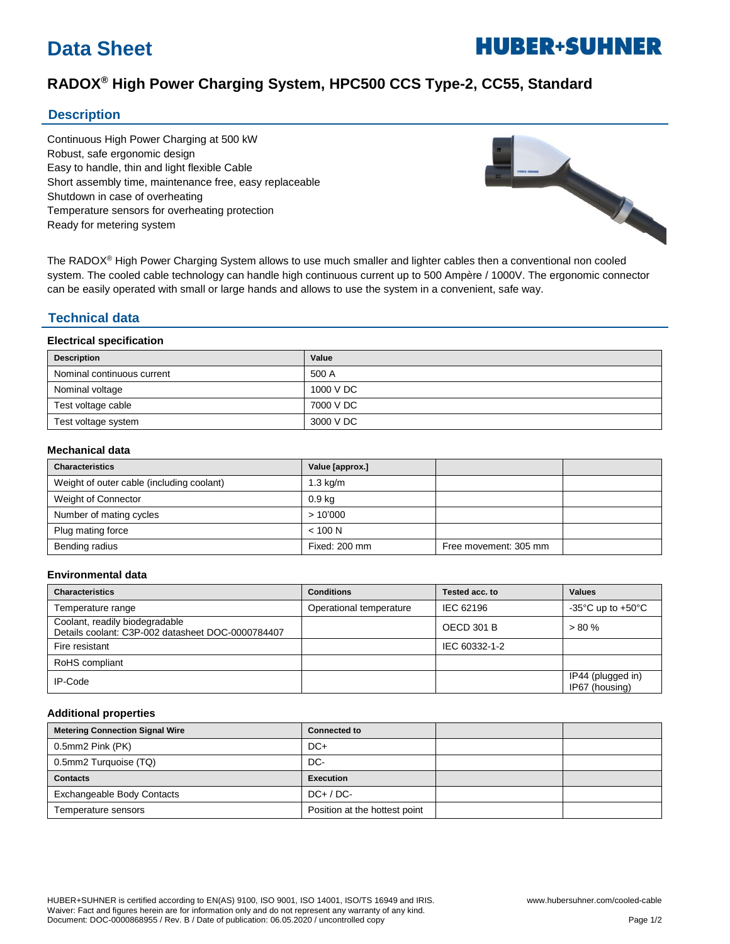# **Data Sheet**

# **HUBER+SUHNER**

# **RADOX® High Power Charging System, HPC500 CCS Type-2, CC55, Standard**

## **Description**

Continuous High Power Charging at 500 kW Robust, safe ergonomic design Easy to handle, thin and light flexible Cable Short assembly time, maintenance free, easy replaceable Shutdown in case of overheating Temperature sensors for overheating protection Ready for metering system



The RADOX® High Power Charging System allows to use much smaller and lighter cables then a conventional non cooled system. The cooled cable technology can handle high continuous current up to 500 Ampère / 1000V. The ergonomic connector can be easily operated with small or large hands and allows to use the system in a convenient, safe way.

# **Technical data**

#### **Electrical specification**

| <b>Description</b>         | Value     |
|----------------------------|-----------|
| Nominal continuous current | 500 A     |
| Nominal voltage            | 1000 V DC |
| Test voltage cable         | 7000 V DC |
| Test voltage system        | 3000 V DC |

#### **Mechanical data**

| <b>Characteristics</b>                    | Value [approx.]    |                       |  |
|-------------------------------------------|--------------------|-----------------------|--|
| Weight of outer cable (including coolant) | $1.3 \text{ kg/m}$ |                       |  |
| Weight of Connector                       | 0.9 <sub>kq</sub>  |                       |  |
| Number of mating cycles                   | >10'000            |                       |  |
| Plug mating force                         | < 100 N            |                       |  |
| Bending radius                            | Fixed: 200 mm      | Free movement: 305 mm |  |

#### **Environmental data**

| <b>Characteristics</b>                                                              | <b>Conditions</b>       | Tested acc. to    | <b>Values</b>                       |
|-------------------------------------------------------------------------------------|-------------------------|-------------------|-------------------------------------|
| Temperature range                                                                   | Operational temperature | IEC 62196         | -35°C up to +50°C                   |
| Coolant, readily biodegradable<br>Details coolant: C3P-002 datasheet DOC-0000784407 |                         | <b>OECD 301 B</b> | $> 80 \%$                           |
| Fire resistant                                                                      |                         | IEC 60332-1-2     |                                     |
| RoHS compliant                                                                      |                         |                   |                                     |
| IP-Code                                                                             |                         |                   | IP44 (plugged in)<br>IP67 (housing) |

#### **Additional properties**

| <b>Metering Connection Signal Wire</b> | <b>Connected to</b>           |  |
|----------------------------------------|-------------------------------|--|
| 0.5mm2 Pink (PK)                       | $DC+$                         |  |
| 0.5mm2 Turquoise (TQ)                  | DC-                           |  |
| <b>Contacts</b>                        | <b>Execution</b>              |  |
| Exchangeable Body Contacts             | $DC+ / DC-$                   |  |
| Temperature sensors                    | Position at the hottest point |  |